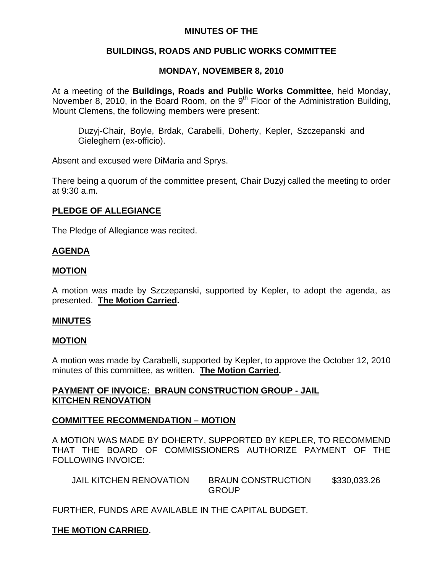## **MINUTES OF THE**

# **BUILDINGS, ROADS AND PUBLIC WORKS COMMITTEE**

# **MONDAY, NOVEMBER 8, 2010**

At a meeting of the **Buildings, Roads and Public Works Committee**, held Monday, November 8, 2010, in the Board Room, on the  $9<sup>th</sup>$  Floor of the Administration Building, Mount Clemens, the following members were present:

Duzyj-Chair, Boyle, Brdak, Carabelli, Doherty, Kepler, Szczepanski and Gieleghem (ex-officio).

Absent and excused were DiMaria and Sprys.

There being a quorum of the committee present, Chair Duzyj called the meeting to order at 9:30 a.m.

## **PLEDGE OF ALLEGIANCE**

The Pledge of Allegiance was recited.

## **AGENDA**

## **MOTION**

A motion was made by Szczepanski, supported by Kepler, to adopt the agenda, as presented. **The Motion Carried.** 

### **MINUTES**

### **MOTION**

A motion was made by Carabelli, supported by Kepler, to approve the October 12, 2010 minutes of this committee, as written. **The Motion Carried.** 

## **PAYMENT OF INVOICE: BRAUN CONSTRUCTION GROUP - JAIL KITCHEN RENOVATION**

## **COMMITTEE RECOMMENDATION – MOTION**

A MOTION WAS MADE BY DOHERTY, SUPPORTED BY KEPLER, TO RECOMMEND THAT THE BOARD OF COMMISSIONERS AUTHORIZE PAYMENT OF THE FOLLOWING INVOICE:

| <b>JAIL KITCHEN RENOVATION</b> | <b>BRAUN CONSTRUCTION</b> | \$330,033.26 |
|--------------------------------|---------------------------|--------------|
|                                | <b>GROUP</b>              |              |

FURTHER, FUNDS ARE AVAILABLE IN THE CAPITAL BUDGET.

# **THE MOTION CARRIED.**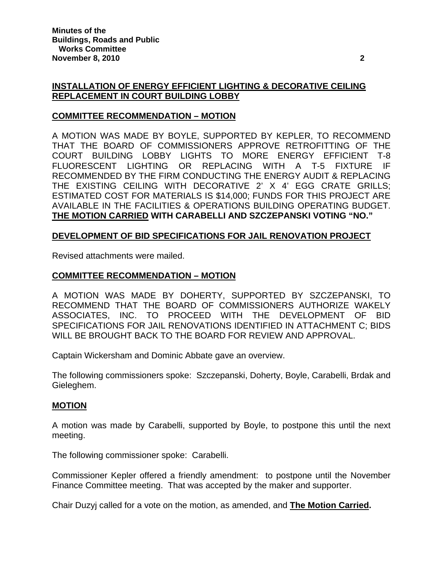## **INSTALLATION OF ENERGY EFFICIENT LIGHTING & DECORATIVE CEILING REPLACEMENT IN COURT BUILDING LOBBY**

## **COMMITTEE RECOMMENDATION – MOTION**

A MOTION WAS MADE BY BOYLE, SUPPORTED BY KEPLER, TO RECOMMEND THAT THE BOARD OF COMMISSIONERS APPROVE RETROFITTING OF THE COURT BUILDING LOBBY LIGHTS TO MORE ENERGY EFFICIENT T-8 FLUORESCENT LIGHTING OR REPLACING WITH A T-5 FIXTURE IF RECOMMENDED BY THE FIRM CONDUCTING THE ENERGY AUDIT & REPLACING THE EXISTING CEILING WITH DECORATIVE 2' X 4' EGG CRATE GRILLS; ESTIMATED COST FOR MATERIALS IS \$14,000; FUNDS FOR THIS PROJECT ARE AVAILABLE IN THE FACILITIES & OPERATIONS BUILDING OPERATING BUDGET. **THE MOTION CARRIED WITH CARABELLI AND SZCZEPANSKI VOTING "NO."** 

## **DEVELOPMENT OF BID SPECIFICATIONS FOR JAIL RENOVATION PROJECT**

Revised attachments were mailed.

## **COMMITTEE RECOMMENDATION – MOTION**

A MOTION WAS MADE BY DOHERTY, SUPPORTED BY SZCZEPANSKI, TO RECOMMEND THAT THE BOARD OF COMMISSIONERS AUTHORIZE WAKELY ASSOCIATES, INC. TO PROCEED WITH THE DEVELOPMENT OF BID SPECIFICATIONS FOR JAIL RENOVATIONS IDENTIFIED IN ATTACHMENT C; BIDS WILL BE BROUGHT BACK TO THE BOARD FOR REVIEW AND APPROVAL.

Captain Wickersham and Dominic Abbate gave an overview.

The following commissioners spoke: Szczepanski, Doherty, Boyle, Carabelli, Brdak and Gieleghem.

### **MOTION**

A motion was made by Carabelli, supported by Boyle, to postpone this until the next meeting.

The following commissioner spoke: Carabelli.

Commissioner Kepler offered a friendly amendment: to postpone until the November Finance Committee meeting. That was accepted by the maker and supporter.

Chair Duzyj called for a vote on the motion, as amended, and **The Motion Carried.**